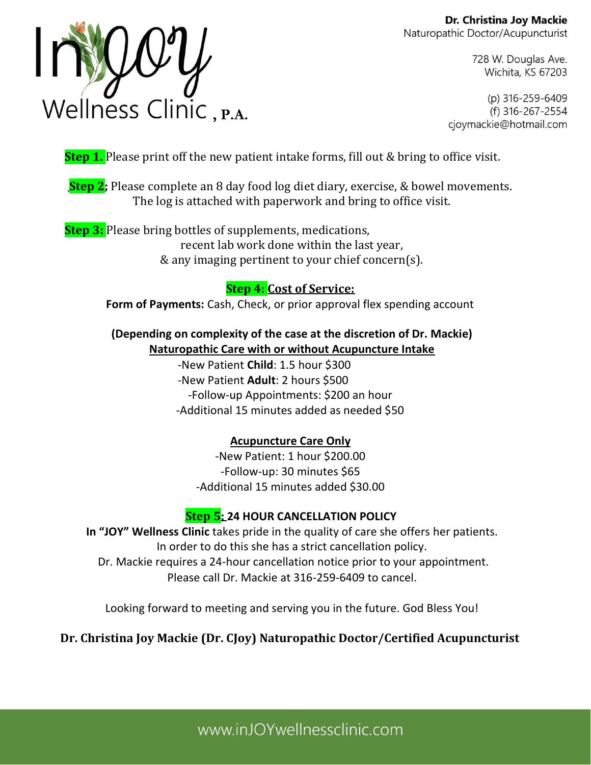**Dr. Christina Joy Mackie** Naturopathic Doctor/Acupuncturist

> 728 W. Douglas Ave. Wichita, KS 67203

(p) 316-259-6409 (f) 316-267-2554 cjoymackie@hotmail.com

**Step 1.** Please print off the new patient intake forms, fill out & bring to office visit.

**Step 2:** Please complete an 8 day food log diet diary, exercise, & bowel movements. The log is attached with paperwork and bring to office visit.

**Step 3:** Please bring bottles of supplements, medications, recent lab work done within the last year, & any imaging pertinent to your chief concern(s).

### **Step 4: Cost of Service:**

**Form of Payments:** Cash, Check, or prior approval flex spending account

**(Depending on complexity of the case at the discretion of Dr. Mackie) Naturopathic Care with or without Acupuncture Intake**

> -New Patient **Child**: 1.5 hour \$300 -New Patient **Adult**: 2 hours \$500 -Follow-up Appointments: \$200 an hour -Additional 15 minutes added as needed \$50

### **Acupuncture Care Only**

-New Patient: 1 hour \$200.00 -Follow-up: 30 minutes \$65 -Additional 15 minutes added \$30.00

### **Step 5: 24 HOUR CANCELLATION POLICY**

**In "JOY" Wellness Clinic** takes pride in the quality of care she offers her patients. In order to do this she has a strict cancellation policy. Dr. Mackie requires a 24-hour cancellation notice prior to your appointment. Please call Dr. Mackie at 316-259-6409 to cancel.

Looking forward to meeting and serving you in the future. God Bless You!

**Dr. Christina Joy Mackie (Dr. CJoy) Naturopathic Doctor/Certified Acupuncturist**

www.inJOYwellnessclinic.com

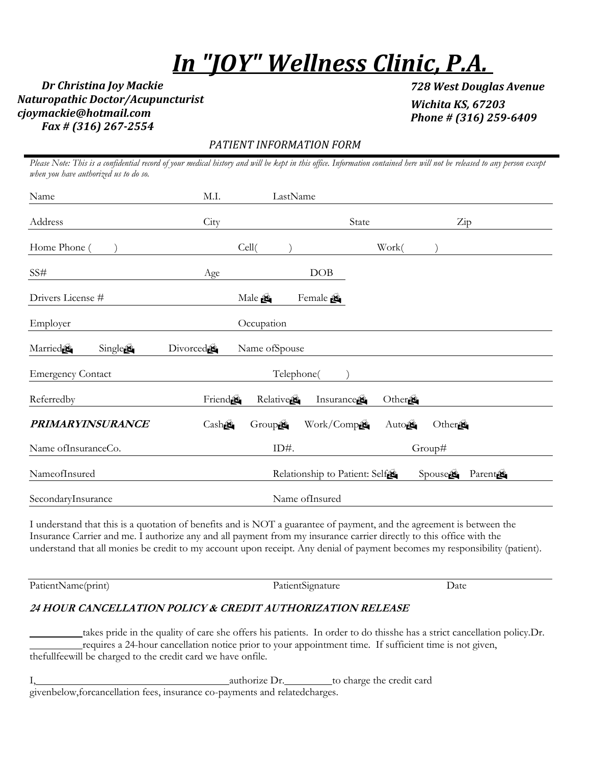### *Dr Christina Joy Mackie Naturopathic Doctor/Acupuncturist [cjoymackie@hotmail.com](mailto:cjoymackie@hotmail.com) Fax # (316) 267-2554*

### *PATIENT INFORMATION FORM*

*Please Note: This is a confidential record of your medical history and will be kept in this office. Information contained here will not be released to any person except when you have authorized us to do so.*

| Name                     | M.I.     | LastName       |                               |       |                               |  |
|--------------------------|----------|----------------|-------------------------------|-------|-------------------------------|--|
| Address                  | City     |                |                               | State | $\overline{Zip}$              |  |
| Home Phone (             |          | Cell(          |                               | Work( |                               |  |
| SS#                      | Age      |                | DOB                           |       |                               |  |
| Drivers License #        |          | Male           | Female                        |       |                               |  |
| Employer                 |          | Occupation     |                               |       |                               |  |
| Married<br>Single        | Divorced | Name of Spouse |                               |       |                               |  |
| <b>Emergency Contact</b> |          | Telephone(     |                               |       |                               |  |
| Referredby               | Friend   | Relative       | Insurance                     | Other |                               |  |
| <b>PRIMARYINSURANCE</b>  | Cash     | Group          | Work/Comp                     | Autor | Other                         |  |
| Name of InsuranceCo.     |          | ID#.           |                               |       | Group#                        |  |
| NameofInsured            |          |                | Relationship to Patient: Self |       | Spouse <sup>8</sup><br>Parent |  |
| SecondaryInsurance       |          |                | Name of Insured               |       |                               |  |

I understand that this is a quotation of benefits and is NOT a guarantee of payment, and the agreement is between the Insurance Carrier and me. I authorize any and all payment from my insurance carrier directly to this office with the understand that all monies be credit to my account upon receipt. Any denial of payment becomes my responsibility (patient).

PatientName(print) PatientSignature Date

*728 West Douglas Avenue*

*Phone # (316) 259-6409*

*Wichita KS, 67203*

### **24 HOUR CANCELLATION POLICY & CREDIT AUTHORIZATION RELEASE**

takes pride in the quality of care she offers his patients. In order to do thisshe has a strict cancellation policy.Dr. requires a 24-hour cancellation notice prior to your appointment time. If sufficient time is not given, thefullfeewill be charged to the credit card we have onfile.

I, authorize Dr. to charge the credit card givenbelow,forcancellation fees, insurance co-payments and relatedcharges.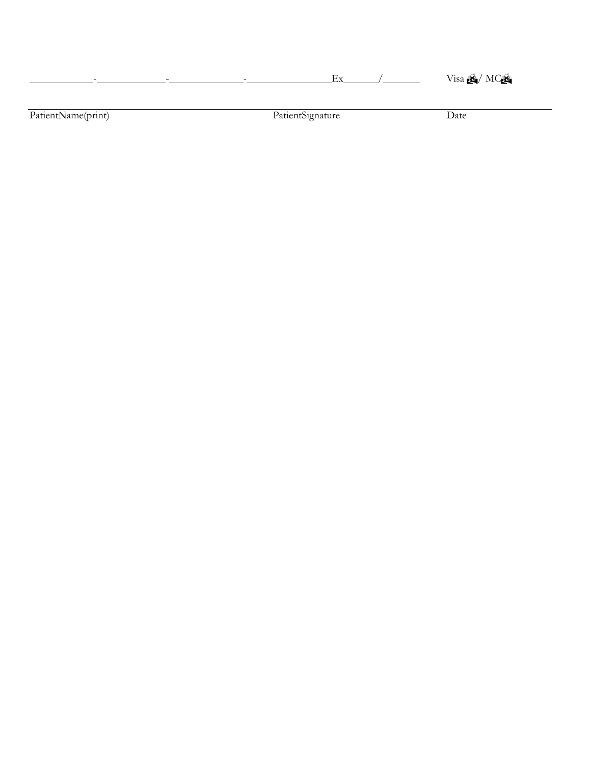|                    | - | Ηv               | Visa &/MC |
|--------------------|---|------------------|-----------|
|                    |   |                  |           |
| PatientName(print) |   | PatientSignature | Date      |

 $\overline{\phantom{0}}$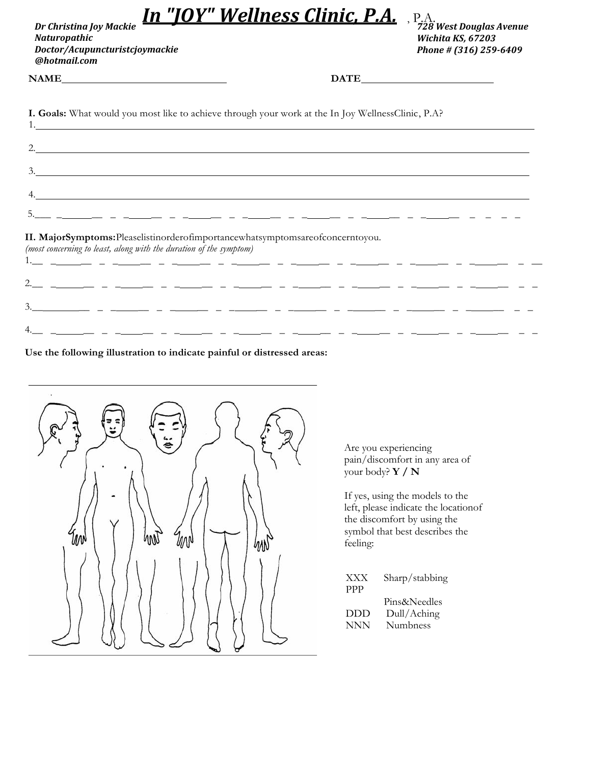| <u>In "IOY" Wellness Clinic, P.A.</u><br><b>Dr Christina Joy Mackie</b><br><b>Naturopathic</b><br>Doctor/Acupuncturistcjoymackie<br>@hotmail.com                                                                                     | . P.A.<br>728 West Douglas Avenue<br>Wichita KS, 67203<br>Phone # (316) 259-6409 |
|--------------------------------------------------------------------------------------------------------------------------------------------------------------------------------------------------------------------------------------|----------------------------------------------------------------------------------|
| $\mathbf{NAME}\_\_\_\_\_\_\_\_\_$                                                                                                                                                                                                    |                                                                                  |
| I. Goals: What would you most like to achieve through your work at the In Joy WellnessClinic, P.A?                                                                                                                                   |                                                                                  |
| 3.                                                                                                                                                                                                                                   |                                                                                  |
| <u> 1989 - Johann Stoff, deutscher Stoffen und der Stoffen und der Stoffen und der Stoffen und der Stoffen und d</u>                                                                                                                 |                                                                                  |
| II. MajorSymptoms: Pleaselistinorderofimportancewhatsymptomsareofconcerntoyou.<br>(most concerning to least, along with the duration of the symptom)                                                                                 |                                                                                  |
| <u>للرسمية المستخدمة المستخدمة المستخدمة المستخدمة المستخدمة المستخدمة المستخدمة المستخدمة المستخدمة ا</u>                                                                                                                           |                                                                                  |
| المستندات للمستداك للمستداك المستندات المستندات للمستداك المستندات للمستند                                                                                                                                                           |                                                                                  |
| <u> 1988 - 1989 - 1989 - 1989 - 1989 - 1989 - 1989 - 1989 - 1989 - 1989 - 1989 - 1989 - 1989 - 1989 - 1989 - 1989 - 1989 - 1989 - 1989 - 1989 - 1989 - 1989 - 1989 - 1989 - 1989 - 1989 - 1989 - 1989 - 1989 - 1989 - 1989 - 198</u> |                                                                                  |

**Use the following illustration to indicate painful or distressed areas:**



Are you experiencing pain/discomfort in any area of your body? **Y / N**

If yes, using the models to the left, please indicate the locationof the discomfort by using the symbol that best describes the feeling:

| <b>XXX</b><br><b>PPP</b> | Sharp/stabbing                          |
|--------------------------|-----------------------------------------|
| <b>DDD</b><br><b>NNN</b> | Pins&Needles<br>Dull/Aching<br>Numbness |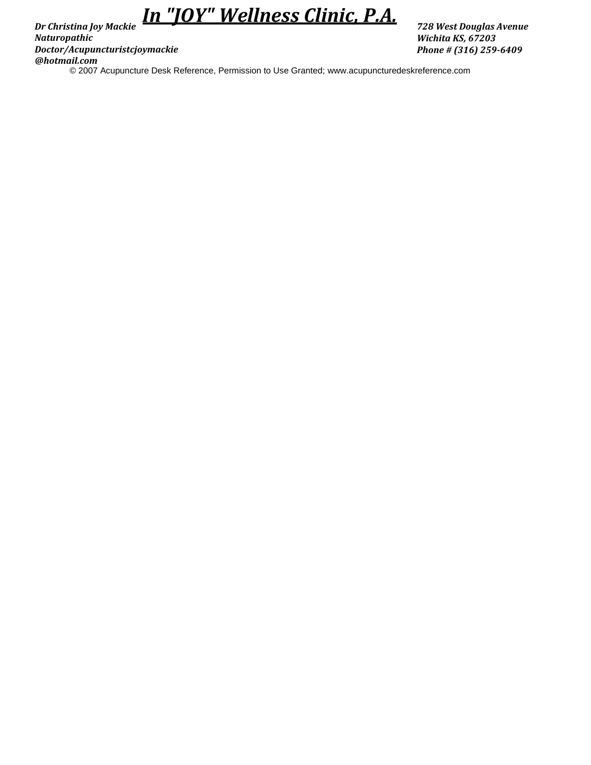*In "JOY" Wellness Clinic, P.A. Dr Christina Joy Mackie* 

*Naturopathic Doctor/Acupuncturis[tcjoymackie](mailto:cjoymackie@hotmail.com) [@hotmail.com](mailto:cjoymackie@hotmail.com)*

*728 West Douglas Avenue Wichita KS, 67203 Phone # (316) 259-6409*

© 2007 Acupuncture Desk Reference, Permission to Use Granted; [www.acupuncturedeskreference.com](http://www.acupuncturedeskreference.com/)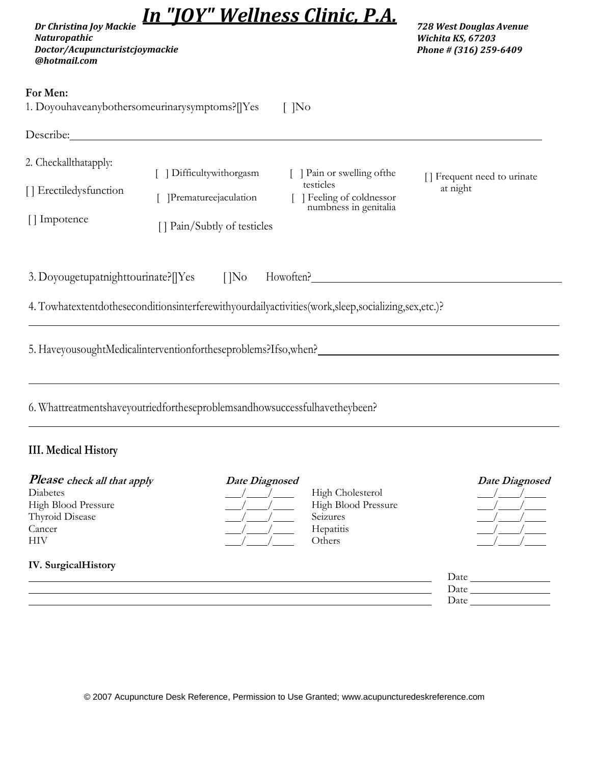|  |  | In "IOY" Wellness Clinic, P.A. |  |
|--|--|--------------------------------|--|
|  |  |                                |  |

*Dr Christina Joy Mackie Naturopathic Doctor/Acupuncturis[tcjoymackie](mailto:cjoymackie@hotmail.com) [@hotmail.com](mailto:cjoymackie@hotmail.com)*

*728 West Douglas Avenue Wichita KS, 67203 Phone # (316) 259-6409*

> Date Date Date

| For Men:                                                                                    | 1. Doyouhaveanybothersomeurinarysymptoms?[]Yes                                                                                                                                                                                 | $\lceil \; \rceil$ No                                                                              |                             |  |  |  |  |
|---------------------------------------------------------------------------------------------|--------------------------------------------------------------------------------------------------------------------------------------------------------------------------------------------------------------------------------|----------------------------------------------------------------------------------------------------|-----------------------------|--|--|--|--|
|                                                                                             | Describe: New York: New York: New York: New York: New York: New York: New York: New York: New York: New York: New York: New York: New York: New York: New York: New York: New York: New York: New York: New York: New York: Ne |                                                                                                    |                             |  |  |  |  |
| 2. Checkallthatapply:                                                                       | [ ] Difficultywithorgasm                                                                                                                                                                                                       | [ ] Pain or swelling of the                                                                        | [] Frequent need to urinate |  |  |  |  |
| [] Erectiledysfunction                                                                      | Prematureejaculation                                                                                                                                                                                                           | testicles<br>] Feeling of coldnessor<br>numbness in genitalia                                      | at night                    |  |  |  |  |
| [] Impotence<br>[] Pain/Subtly of testicles                                                 |                                                                                                                                                                                                                                |                                                                                                    |                             |  |  |  |  |
| 3. Doyougetupatnighttourinate? [] Yes                                                       | $\lceil \cdot \rceil$ No                                                                                                                                                                                                       |                                                                                                    |                             |  |  |  |  |
|                                                                                             |                                                                                                                                                                                                                                | 4. Towhatextentdotheseconditionsinterferewithyourdailyactivities(work,sleep,socializing,sex,etc.)? |                             |  |  |  |  |
|                                                                                             |                                                                                                                                                                                                                                | 5. HaveyousoughtMedicalinterventionfortheseproblems?Ifso,when?                                     |                             |  |  |  |  |
|                                                                                             | 6. Whattreatmentshaveyoutriedfortheseproblemsandhowsuccessfulhavetheybeen?                                                                                                                                                     |                                                                                                    |                             |  |  |  |  |
| <b>III. Medical History</b>                                                                 |                                                                                                                                                                                                                                |                                                                                                    |                             |  |  |  |  |
| Please check all that apply<br>Diabetes<br>High Blood Pressure<br>Thyroid Disease<br>Cancer | <b>Date Diagnosed</b>                                                                                                                                                                                                          | High Cholesterol<br>High Blood Pressure<br>Seizures<br>Hepatitis                                   | <b>Date Diagnosed</b>       |  |  |  |  |

 $HIV$  Others  $\frac{1}{\sqrt{1-\frac{1}{2}}}$  Others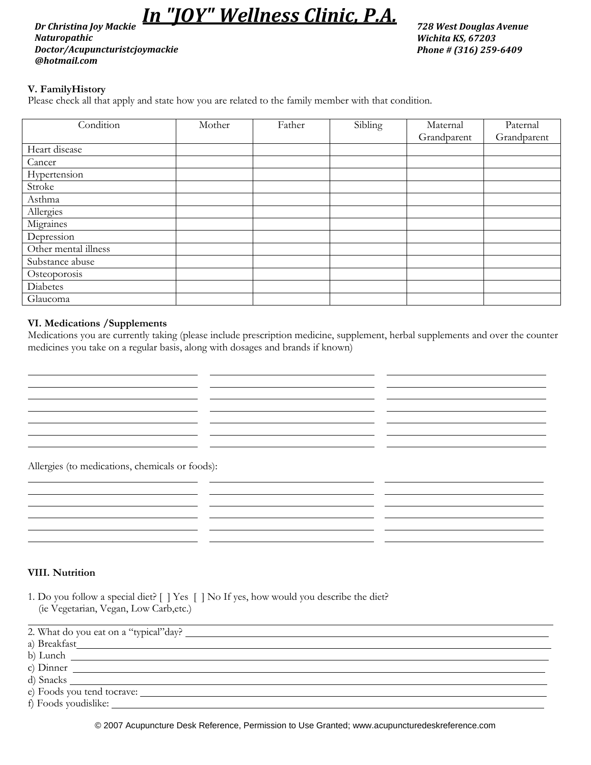*Dr Christina Joy Mackie Naturopathic Doctor/Acupuncturis[tcjoymackie](mailto:cjoymackie@hotmail.com) [@hotmail.com](mailto:cjoymackie@hotmail.com)*

*728 West Douglas Avenue Wichita KS, 67203 Phone # (316) 259-6409*

### **V. FamilyHistory**

Please check all that apply and state how you are related to the family member with that condition.

| Condition            | Mother | Father | Sibling | Maternal<br>Grandparent | Paternal<br>Grandparent |
|----------------------|--------|--------|---------|-------------------------|-------------------------|
| Heart disease        |        |        |         |                         |                         |
| Cancer               |        |        |         |                         |                         |
| Hypertension         |        |        |         |                         |                         |
| Stroke               |        |        |         |                         |                         |
| Asthma               |        |        |         |                         |                         |
| Allergies            |        |        |         |                         |                         |
| Migraines            |        |        |         |                         |                         |
| Depression           |        |        |         |                         |                         |
| Other mental illness |        |        |         |                         |                         |
| Substance abuse      |        |        |         |                         |                         |
| Osteoporosis         |        |        |         |                         |                         |
| Diabetes             |        |        |         |                         |                         |
| Glaucoma             |        |        |         |                         |                         |

#### **VI. Medications /Supplements**

Medications you are currently taking (please include prescription medicine, supplement, herbal supplements and over the counter medicines you take on a regular basis, along with dosages and brands if known)

> <u> 1980 - Johann Barn, mars eta bainar eta baina eta baina eta baina eta baina eta baina eta baina eta baina e</u>

<u> 1990 - Jacques Maria (j. 1900).</u> Jacques Maria (j. 1900). Alemaniar estas estas estas estas estas estas estas <u> 1989 - Andrea Andrew Maria (h. 1989).</u><br>2001 - Andrew Maria (h. 1989).

<u> 1989 - Jan Barbara Barbara, política establecera en la propia de la propia de la propia de la propia de la p</u>

<u> 1999 - 199</u>  $\overline{\phantom{a}}$ 

Allergies (to medications, chemicals or foods):

#### **VIII. Nutrition**

1. Do you follow a special diet? [ ] Yes [ ] No If yes, how would you describe the diet? (ie Vegetarian, Vegan, Low Carb,etc.)

| a) Breakfast |  |
|--------------|--|
|              |  |
| c) Dinner    |  |
| d) Snacks    |  |
|              |  |
|              |  |

© 2007 Acupuncture Desk Reference, Permission to Use Granted[; www.acupuncturedeskreference.com](http://www.acupuncturedeskreference.com/)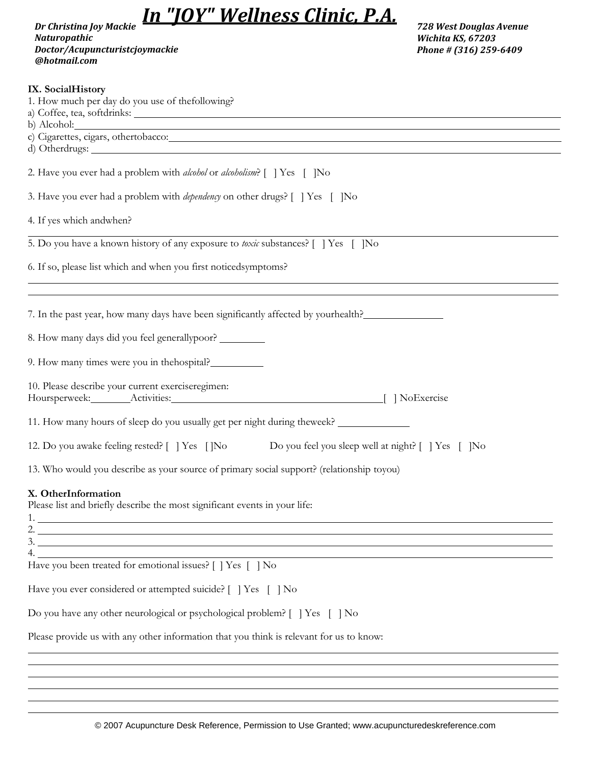*Dr Christina Joy Mackie Naturopathic Doctor/Acupuncturis[tcjoymackie](mailto:cjoymackie@hotmail.com) [@hotmail.com](mailto:cjoymackie@hotmail.com)*

*728 West Douglas Avenue Wichita KS, 67203 Phone # (316) 259-6409*

| IX. SocialHistory<br>1. How much per day do you use of thefollowing?<br>a) Coffee, tea, softdrinks:<br>b) Alcohol: <u>contract the contract of the contract of the contract of the contract of the contract of the contract of the contract of the contract of the contract of the contract of the contract of the contract of the cont</u><br>c) Cigarettes, cigars, othertobacco: |
|-------------------------------------------------------------------------------------------------------------------------------------------------------------------------------------------------------------------------------------------------------------------------------------------------------------------------------------------------------------------------------------|
| 2. Have you ever had a problem with <i>alcohol</i> or <i>alcoholism</i> ? [ ] Yes [ ] No                                                                                                                                                                                                                                                                                            |
| 3. Have you ever had a problem with dependency on other drugs? [] Yes [] No                                                                                                                                                                                                                                                                                                         |
| 4. If yes which andwhen?                                                                                                                                                                                                                                                                                                                                                            |
| 5. Do you have a known history of any exposure to toxic substances? [] Yes [] No                                                                                                                                                                                                                                                                                                    |
| 6. If so, please list which and when you first noticedsymptoms?<br>,我们也不能在这里的时候,我们也不能在这里的时候,我们也不能会在这里的时候,我们也不能会在这里的时候,我们也不能会在这里的时候,我们也不能会在这里的时候,我们也                                                                                                                                                                                                                                 |
| ,我们也不会有什么。""我们的人,我们也不会有什么?""我们的人,我们也不会有什么?""我们的人,我们也不会有什么?""我们的人,我们也不会有什么?""我们的人<br>7. In the past year, how many days have been significantly affected by yourhealth?                                                                                                                                                                                                              |
| 8. How many days did you feel generallypoor? _________                                                                                                                                                                                                                                                                                                                              |
| 9. How many times were you in the hospital?                                                                                                                                                                                                                                                                                                                                         |
| 10. Please describe your current exerciseregimen:<br>Hoursperweek: Activities: Activities: Activities: Activities: [ ] NoExercise                                                                                                                                                                                                                                                   |
| 11. How many hours of sleep do you usually get per night during theweek?                                                                                                                                                                                                                                                                                                            |
| 12. Do you awake feeling rested? [ ] Yes []No<br>Do you feel you sleep well at night? [ ] Yes [ ]No                                                                                                                                                                                                                                                                                 |
| 13. Who would you describe as your source of primary social support? (relationship toyou)                                                                                                                                                                                                                                                                                           |
| X. OtherInformation<br>Please list and briefly describe the most significant events in your life:<br>2. $\overline{\phantom{a}}$                                                                                                                                                                                                                                                    |
| $\frac{3}{2}$                                                                                                                                                                                                                                                                                                                                                                       |
| 4. Thave you been treated for emotional issues? [ ] Yes [ ] No                                                                                                                                                                                                                                                                                                                      |
| Have you ever considered or attempted suicide? [ ] Yes [ ] No                                                                                                                                                                                                                                                                                                                       |
| Do you have any other neurological or psychological problem? [   Yes [   No                                                                                                                                                                                                                                                                                                         |
| Please provide us with any other information that you think is relevant for us to know:                                                                                                                                                                                                                                                                                             |
|                                                                                                                                                                                                                                                                                                                                                                                     |
|                                                                                                                                                                                                                                                                                                                                                                                     |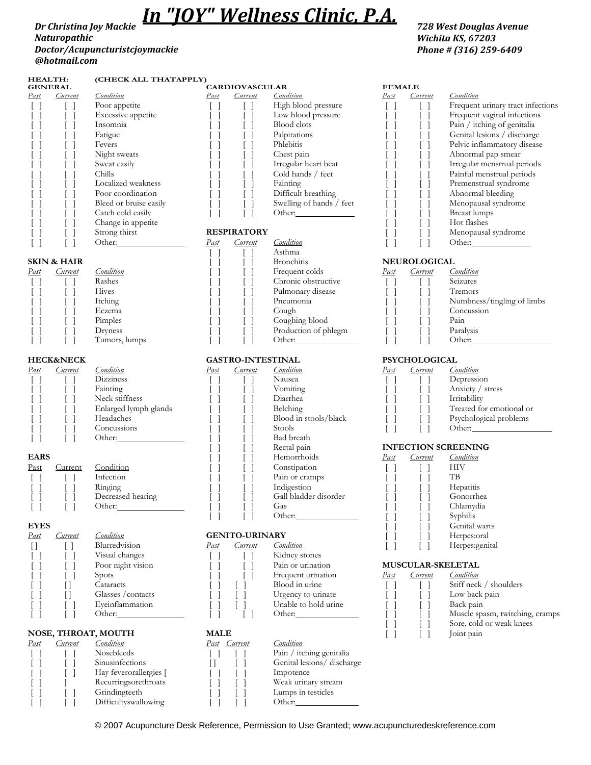*Dr Christina Joy Mackie Naturopathic Doctor/Acupuncturis[tcjoymackie](mailto:cjoymackie@hotmail.com) [@hotmail.com](mailto:cjoymackie@hotmail.com)*

|                                        | @hotmail.com                                                |                        |                                        |                                                             |                          |                                        |                                 |                            |
|----------------------------------------|-------------------------------------------------------------|------------------------|----------------------------------------|-------------------------------------------------------------|--------------------------|----------------------------------------|---------------------------------|----------------------------|
| HEALTH:                                | <b>GENERAL</b>                                              | (CHECK ALL THATAPPLY)  |                                        | <b>CARDIOVASCULAR</b>                                       |                          | <b>FEMALE</b>                          |                                 |                            |
| Past                                   | Current                                                     | Condition              | Past                                   | Current                                                     | Condition                | Past                                   | Current                         | Condition                  |
| $[\ ]$                                 |                                                             | Poor appetite          | $\Box$                                 | $\Box$                                                      | High blood pressure      | $\begin{bmatrix} \end{bmatrix}$        | $[\ ]$                          | Frequent urinary tract     |
| $\lceil \ \rceil$                      | $\begin{bmatrix} \end{bmatrix}$                             | Excessive appetite     | $\Box$                                 | $\begin{bmatrix} 1 \end{bmatrix}$                           | Low blood pressure       | $\begin{bmatrix} \end{bmatrix}$        | $\Box$                          | Frequent vaginal infer     |
| $\begin{bmatrix} \\ \\ \end{bmatrix}$  |                                                             | Insomnia               | $\Box$                                 | $\Box$                                                      | Blood clots              | $[\ ]$                                 | $[\ ]$                          | Pain / itching of geni     |
| $[\ ]$                                 |                                                             | Fatigue                |                                        | $\Box$                                                      | Palpitations             | $[\ ]$                                 | $\Box$                          | Genital lesions / discl    |
| $[\,\,]$                               |                                                             | Fevers                 |                                        | $\Box$                                                      | Phlebitis                | $\Box$                                 |                                 | Pelvic inflammatory d      |
| $\begin{bmatrix} \end{bmatrix}$        |                                                             | Night sweats           |                                        | $\Box$                                                      | Chest pain               | $[\ ]$                                 |                                 | Abnormal pap smear         |
| $[\ ]$                                 |                                                             | Sweat easily           | $\Box$                                 | $\Box$                                                      | Irregular heart beat     | $[\ ]$                                 | $\Box$                          | Irregular menstrual pe     |
| $\Box$                                 |                                                             | Chills                 |                                        | $\Box$                                                      | Cold hands / feet        |                                        |                                 | Painful menstrual per      |
| $[\ ]$                                 |                                                             | Localized weakness     | $\Box$                                 | $[\ ]$                                                      | Fainting                 | $\begin{bmatrix} \end{bmatrix}$        |                                 | Premenstrual syndron       |
| $[ \ \ ]$                              |                                                             | Poor coordination      | $\lceil \rceil$                        | $\Box$                                                      | Difficult breathing      | $[\ ]$                                 | $[ \ ]$                         | Abnormal bleeding          |
| $\Box$                                 |                                                             | Bleed or bruise easily | $\Box$                                 | $[\ ]$                                                      | Swelling of hands / feet | $\Box$                                 |                                 | Menopausal syndrom         |
| $[\ ]$                                 |                                                             | Catch cold easily      | $[\ ]$                                 | $\Box$                                                      |                          | $[\ ]$                                 |                                 | Breast lumps               |
| $[\ ]$                                 |                                                             | Change in appetite     |                                        |                                                             |                          | $\begin{bmatrix} \end{bmatrix}$        | $\Box$                          | Hot flashes                |
| $\Box$                                 |                                                             | Strong thirst          |                                        | <b>RESPIRATORY</b>                                          |                          |                                        |                                 | Menopausal syndrom         |
| $[\ ]$                                 | $\Box$                                                      | Other:                 | Past                                   | <i>Current</i>                                              | Condition                | $\Box$                                 | $\lceil$ $\rceil$               | Other:                     |
|                                        |                                                             |                        | $\Box$                                 | $\Box$                                                      | Asthma                   |                                        |                                 |                            |
|                                        | <b>SKIN &amp; HAIR</b>                                      |                        | $[\,\,\,]$                             | $\begin{bmatrix} 1 \end{bmatrix}$                           | <b>Bronchitis</b>        |                                        | <b>NEUROLOGICAL</b>             |                            |
| Past                                   | <u>Current</u>                                              | Condition              |                                        | $\Box$                                                      | Frequent colds           | Past                                   | <b>Current</b>                  | Condition                  |
| $[\ ]$                                 | $[ \ ]$                                                     | Rashes                 |                                        | $\Box$                                                      | Chronic obstructive      | $\begin{bmatrix} \end{bmatrix}$        | $[ \ ]$                         | Seizures                   |
| $[ \ \ ]$                              | $[ \ ]$                                                     | Hives                  |                                        | $\lceil \ \rceil$                                           | Pulmonary disease        | $\begin{bmatrix} \end{bmatrix}$        | $[\ ]$                          | Tremors                    |
| $[\,\,]$                               | $\Box$                                                      | Itching                |                                        | τı                                                          | Pneumonia                | $\lceil \rceil$                        |                                 | Numbness/tingling o        |
| $[\ ]$                                 |                                                             | Eczema                 |                                        | $\Box$                                                      | Cough                    | $\Box$                                 | $[\ ]$                          | Concussion                 |
| $[\ ]$                                 |                                                             | Pimples                |                                        | $\Box$                                                      | Coughing blood           | $[\ ]$                                 | $[\ ]$                          | Pain                       |
| $[\,\,]$                               |                                                             | Dryness                |                                        |                                                             | Production of phlegm     | $\Box$                                 |                                 | Paralysis                  |
| $\begin{array}{c} \square \end{array}$ |                                                             | Tumors, lumps          |                                        | $\Box$                                                      |                          | $[\ ]$                                 | $\lceil$ $\rceil$               |                            |
|                                        | <b>HECK&amp;NECK</b>                                        |                        |                                        | <b>GASTRO-INTESTINAL</b>                                    |                          |                                        | <b>PSYCHOLOGICAL</b>            |                            |
| <u>Past</u>                            | <i>Current</i>                                              | Condition              | Past                                   | <b>Current</b>                                              | Condition                | Past                                   | <b>Current</b>                  | Condition                  |
| $[\ ]$                                 | $[ \ ]$                                                     | Dizziness              | $\Box$                                 | $\Box$                                                      | Nausea                   | $[\ ]$                                 | $\Box$                          | Depression                 |
| $[\,\,]$                               | $\begin{array}{c} \square \end{array}$                      | Fainting               | $\Box$                                 | $\begin{bmatrix} 1 \end{bmatrix}$                           | Vomiting                 | $[\ ]$                                 | $\begin{bmatrix} \end{bmatrix}$ | Anxiety / stress           |
| $[\ ]$                                 | $\Box$                                                      | Neck stiffness         | $\Box$                                 | $\Box$                                                      | Diarrhea                 | $\Box$                                 | $\Box$                          | Irritability               |
| $\begin{bmatrix} \end{bmatrix}$        |                                                             | Enlarged lymph glands  | $\Box$                                 | $\Box$                                                      | <b>Belching</b>          | $\begin{bmatrix} \end{bmatrix}$        | $[\ ]$                          | Treated for emotional      |
| $[\,\,]$                               |                                                             | Headaches              | $[\ ]$                                 | $[\ ]$                                                      | Blood in stools/black    | $\Box$                                 |                                 | Psychological problen      |
| Γl                                     |                                                             | Concussions            | $\Box$                                 | $\Box$                                                      | Stools                   | $\begin{bmatrix} \end{bmatrix}$        | $\Box$                          | Other:                     |
| $[\ ]$                                 | $\vert \ \ \vert$                                           | Other:                 | $\Box$                                 | $\Box$                                                      | Bad breath               |                                        |                                 |                            |
|                                        |                                                             |                        |                                        | $\begin{array}{c} \begin{array}{c} \end{array} \end{array}$ | Rectal pain              |                                        |                                 | <b>INFECTION SCREENING</b> |
| <b>EARS</b>                            |                                                             |                        |                                        | $\Box$                                                      | Hemorrhoids              | <u>Past</u>                            | <i>Current</i>                  | Condition                  |
| Past                                   | Current                                                     | Condition              |                                        | $\Box$                                                      | Constipation             | $[\ ]$                                 | $[ \ ]$                         | HIV                        |
| $[\ ]$                                 | $[ \ ]$                                                     | Infection              | $\begin{array}{c} \square \end{array}$ | $\Box$                                                      | Pain or cramps           | $[\ ]$                                 | $[\ ]$                          | TB                         |
| $\begin{bmatrix} 1 \end{bmatrix}$      | $\begin{array}{c} \begin{array}{c} \end{array} \end{array}$ | Ringing                |                                        |                                                             | Indigestion              |                                        |                                 | Hepatitis                  |
| $[ \quad ]$                            |                                                             | Decreased hearing      |                                        | $\Box$                                                      | Gall bladder disorder    |                                        | $[\ ]$                          | Gonorrhea                  |
| $[\ ]$                                 |                                                             | Other:                 |                                        |                                                             | Gas                      | $\Box$                                 |                                 | Chlamydia                  |
|                                        |                                                             |                        |                                        | $\Box$                                                      | Other:                   |                                        |                                 | Syphilis                   |
| <b>EYES</b>                            |                                                             |                        |                                        |                                                             |                          | $\lceil$ 1                             |                                 | Genital warts              |
| Past                                   | Current                                                     | Condition              |                                        | <b>GENITO-URINARY</b>                                       |                          | $\Box$                                 |                                 | Herpes:oral                |
| $\begin{bmatrix} \end{bmatrix}$        | $[ \ ]$                                                     | Blurredvision          | Past                                   | <u>Current</u>                                              | Condition                |                                        |                                 | Herpes:genital             |
| $\Box$                                 | $\Box$                                                      | Visual changes         | $\Box$                                 | Γl                                                          | Kidney stones            |                                        |                                 |                            |
| $\Box$                                 |                                                             | Poor night vision      |                                        | $\lceil$ $\rceil$                                           | Pain or urination        |                                        |                                 | MUSCULAR-SKELETAL          |
| $\Box$                                 |                                                             | Spots                  |                                        | $\perp$                                                     | Frequent urination       | <u>Past</u>                            | <b>Current</b>                  | Condition                  |
|                                        |                                                             | Cataracts              |                                        |                                                             | Blood in urine           | $[\ ]$                                 | $\Box$                          | Stiff neck / shoulders     |
|                                        | $\perp$                                                     | Glasses / contacts     |                                        |                                                             | Urgency to urinate       | $\Box$                                 | $\Box$                          | Low back pain              |
| - 1                                    |                                                             | Eyeinflammation        |                                        |                                                             | Unable to hold urine     | $\Box$                                 |                                 | Back pain                  |
| - 1                                    | $\Box$                                                      | Other:                 | $\vert \ \ \vert$                      | $\Box$                                                      |                          | $\begin{array}{c} \square \end{array}$ |                                 | Muscle spasm, twitchi      |
|                                        |                                                             |                        |                                        |                                                             |                          | $[\ ]$                                 | $[\ ]$                          | Sore, cold or weak kn      |

#### **NOSE, THROAT, MOUTH**

|      |                | <b>NOSE, THROAT, MOUTH</b> | <b>MALE</b>     | Joint pain                 |
|------|----------------|----------------------------|-----------------|----------------------------|
| Past | <u>'urrent</u> | Condition                  | Current<br>Past | Condition                  |
|      |                | <b>Nosebleeds</b>          |                 | Pain / itching genitalia   |
|      |                | Sinusinfections            |                 | Genital lesions/ discharge |
|      |                | Hay feverorallergies [     |                 | Impotence                  |
|      |                | Recurringsorethroats       |                 | Weak urinary stream        |
|      |                | Grindingteeth              |                 | Lumps in testicles         |
|      |                | Difficultyswallowing       |                 | Other:                     |

### *728 West Douglas Avenue Wichita KS, 67203 Phone # (316) 259-6409*

| <b>HEALTH:</b>              | (CHECK ALL THATAPPLY)                               |                                 |                                 |                          |                                        |                                 |                                   |
|-----------------------------|-----------------------------------------------------|---------------------------------|---------------------------------|--------------------------|----------------------------------------|---------------------------------|-----------------------------------|
| <b>GENERAL</b>              |                                                     |                                 | <b>CARDIOVASCULAR</b>           |                          | <b>FEMALE</b>                          |                                 |                                   |
| Past<br>Current             | Condition                                           | Past                            | Current                         | Condition                | Past                                   | Current                         | Condition                         |
| $\Box$                      | Poor appetite                                       | $\begin{bmatrix} \end{bmatrix}$ | $[\ ]$                          | High blood pressure      | $[\ ]$                                 | $\Box$                          | Frequent urinary tract infections |
| $\lceil \rceil$<br>$[\ ]$   | Excessive appetite                                  | $[\ ]$                          | $[\ ]$                          | Low blood pressure       | $\begin{bmatrix} \end{bmatrix}$        | $\Box$                          | Frequent vaginal infections       |
| $\Box$<br>$\Box$            | Insomnia                                            | $[\ ]$                          | $\begin{bmatrix} \end{bmatrix}$ | Blood clots              | $[\ ]$                                 | $\lceil \rceil$                 | Pain / itching of genitalia       |
|                             | Fatigue                                             |                                 |                                 | Palpitations             | $\lceil \rceil$                        |                                 | Genital lesions / discharge       |
|                             | Fevers                                              | $[\ ]$                          |                                 | Phlebitis                | $\begin{bmatrix} \end{bmatrix}$        | $\lceil \rceil$                 | Pelvic inflammatory disease       |
|                             | Night sweats                                        |                                 |                                 | Chest pain               | $[ \ ]$                                | $\Box$                          | Abnormal pap smear                |
|                             | Sweat easily                                        |                                 |                                 | Irregular heart beat     | $[ \ ]$                                | $\lceil$ $\rceil$               | Irregular menstrual periods       |
|                             | Chills                                              |                                 |                                 | Cold hands / feet        |                                        |                                 | Painful menstrual periods         |
| $\Box$                      | Localized weakness                                  | $\lceil \rceil$                 | $[\ ]$                          | Fainting                 | $\begin{bmatrix} \end{bmatrix}$        | $\begin{bmatrix} \end{bmatrix}$ | Premenstrual syndrome             |
|                             | Poor coordination                                   | $[ \ ]$                         | $\lceil$ $\rceil$               | Difficult breathing      | $\begin{bmatrix} \end{bmatrix}$        | $\begin{bmatrix} \end{bmatrix}$ | Abnormal bleeding                 |
|                             | Bleed or bruise easily                              | $\lceil \rceil$                 | $[\ ]$                          | Swelling of hands / feet | $\begin{bmatrix} \end{bmatrix}$        | $\lceil \rceil$                 | Menopausal syndrome               |
| $\Box$                      | Catch cold easily                                   | $\Box$                          |                                 | Other:                   |                                        | $\Box$                          | Breast lumps                      |
| $\Box$                      | Change in appetite                                  |                                 |                                 |                          | $\begin{bmatrix} 1 \\ 1 \end{bmatrix}$ | $\Box$                          | Hot flashes                       |
|                             | Strong thirst                                       |                                 | <b>RESPIRATORY</b>              |                          |                                        |                                 | Menopausal syndrome               |
| $\lceil$ 1                  | Other:                                              | Past                            | Current                         | Condition                |                                        | $\lceil \rceil$                 | Other:                            |
|                             |                                                     | $\Box$                          | $\Box$                          | Asthma                   |                                        |                                 |                                   |
| <b>SKIN &amp; HAIR</b>      |                                                     | $[\ ]$                          | $[\ ]$                          | <b>Bronchitis</b>        |                                        | <b>NEUROLOGICAL</b>             |                                   |
| Past<br>Current             | Condition                                           | $[\ ]$                          |                                 | Frequent colds           | Past                                   | Current                         | Condition                         |
| $[\ ]$<br>$\lceil \rceil$   | Rashes                                              |                                 |                                 | Chronic obstructive      |                                        | $\lceil \rceil$                 | Seizures                          |
| $\lceil \rceil$<br>$[ \ ]$  | Hives                                               |                                 |                                 | Pulmonary disease        | $[\ ]$                                 | $\Box$                          | Tremors                           |
| $\Box$                      | Itching                                             |                                 |                                 | Pneumonia                | $[\ ]$                                 | $\Box$                          | Numbness/tingling of limbs        |
|                             | Eczema                                              |                                 |                                 | Cough                    | $\lceil \cdot \rceil$                  | $\lceil \rceil$                 | Concussion                        |
| $\Box$                      | Pimples                                             | $\lceil \rceil$                 |                                 | Coughing blood           | $\Box$                                 | $\lceil \rceil$                 | Pain                              |
| $[ \ ]$                     | Dryness                                             | $\begin{bmatrix} \end{bmatrix}$ |                                 | Production of phlegm     | $[\ ]$                                 | $[\ ]$                          | Paralysis                         |
| $\lceil \ \rceil$<br>$\Box$ | Tumors, lumps                                       |                                 |                                 | Other:                   | $[\ ]$                                 | $\lceil \rceil$                 | Other:                            |
|                             |                                                     |                                 |                                 |                          |                                        |                                 |                                   |
| <b>HECK&amp;NECK</b>        |                                                     |                                 | <b>GASTRO-INTESTINAL</b>        |                          |                                        | <b>PSYCHOLOGICAL</b>            |                                   |
| Past<br>Current             | Condition                                           | Past                            | Current                         | Condition                | Past                                   | Current                         | Condition                         |
| $\Box$                      | Dizziness                                           | $[\ ]$                          | $\begin{bmatrix} \end{bmatrix}$ | Nausea                   | $\begin{bmatrix} \end{bmatrix}$        | $\begin{bmatrix} \end{bmatrix}$ | Depression                        |
| $\Box$                      | Fainting                                            | $\Box$                          | $\lceil \rceil$                 | Vomiting                 | $\Box$                                 | $\lceil \rceil$                 | Anxiety / stress                  |
| $[\ ]$<br>$\Box$            | Neck stiffness                                      | $\lceil \ \rceil$               | $[\ ]$                          | Diarrhea                 | $\begin{bmatrix} \end{bmatrix}$        | $\lceil \rceil$                 | Irritability                      |
| $[\ ]$                      | Enlarged lymph glands                               | $\begin{bmatrix} \end{bmatrix}$ | $\lceil$ $\rceil$               | Belching                 | $\begin{bmatrix} \end{bmatrix}$        | $\lceil \rceil$                 | Treated for emotional or          |
| $[\ ]$<br>$\Box$            | Headaches                                           | $[ \ ]$                         |                                 | Blood in stools/black    | $\begin{bmatrix} \ \ \end{bmatrix}$    | $\begin{bmatrix} \end{bmatrix}$ | Psychological problems            |
| $[ \ ]$                     | Concussions                                         |                                 |                                 | Stools                   | $\begin{bmatrix} \end{bmatrix}$        | $\Box$                          | Other: North Communications       |
| $\Box$                      | <u> 1980 - John Barnett, fransk konge</u><br>Other: |                                 |                                 | Bad breath               |                                        |                                 |                                   |
|                             |                                                     |                                 |                                 | Rectal pain              |                                        |                                 | <b>INFECTION SCREENING</b>        |
| <b>EARS</b>                 |                                                     | $\Box$                          |                                 | Hemorrhoids              | Past                                   | Current                         | Condition                         |

| dst | Current | Condition     |
|-----|---------|---------------|
|     |         | НIV           |
|     |         | TВ            |
|     |         | Hepatitis     |
|     |         | Gonorrhea     |
|     |         | Chlamydia     |
|     |         | Syphilis      |
|     |         | Genital warts |
|     |         | Herpes:oral   |
|     |         | Herpes:genita |

|             | Frequent urination   | Past | Current | Condition                       |
|-------------|----------------------|------|---------|---------------------------------|
|             | Blood in urine       |      |         | Stiff neck / shoulders          |
|             | Urgency to urinate   |      |         | Low back pain                   |
|             | Unable to hold urine |      |         | Back pain                       |
|             | Other:               |      |         | Muscle spasm, twitching, cramps |
|             |                      |      |         | Sore, cold or weak knees        |
| <b>MALE</b> |                      |      |         | Joint pain                      |
|             |                      |      |         |                                 |

© 2007 Acupuncture Desk Reference, Permission to Use Granted[; www.acupuncturedeskreference.com](http://www.acupuncturedeskreference.com/)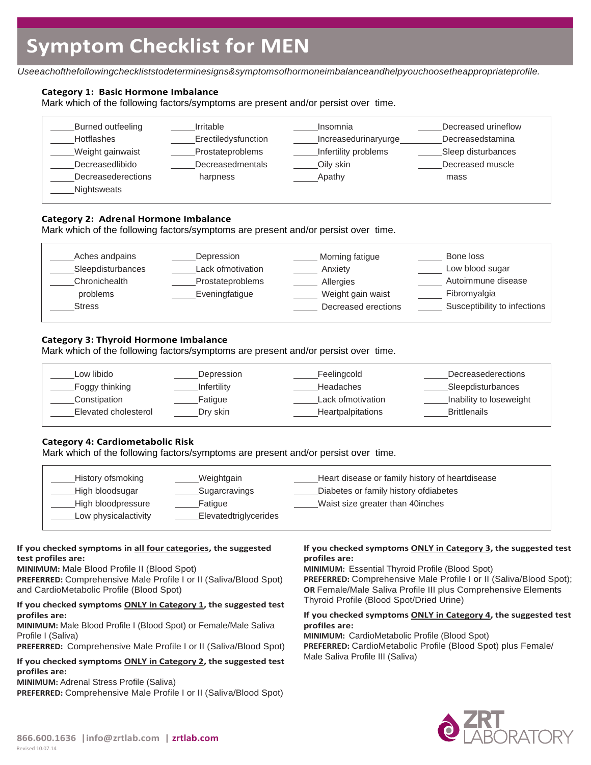# **Symptom Checklist for MEN**

*Useeachofthefollowingcheckliststodeterminesigns&symptomsofhormoneimbalanceandhelpyouchoosetheappropriateprofile.*

#### **Category 1: Basic Hormone Imbalance**

Mark which of the following factors/symptoms are present and/or persist over time.



#### **Category 2: Adrenal Hormone Imbalance**

Mark which of the following factors/symptoms are present and/or persist over time.

| Aches andpains    | Depression        | Morning fatigue     | Bone loss                    |
|-------------------|-------------------|---------------------|------------------------------|
| Sleepdisturbances | Lack ofmotivation | Anxiety             | Low blood sugar              |
| Chronichealth     | Prostateproblems  | Allergies           | Autoimmune disease           |
| problems          | Eveningfatigue    | Weight gain waist   | Fibromyalgia                 |
| <b>Stress</b>     |                   | Decreased erections | Susceptibility to infections |

#### **Category 3: Thyroid Hormone Imbalance**

Mark which of the following factors/symptoms are present and/or persist over time.

| Low libido           | Depression  | Feelingcold              | <b>Decreasederections</b> |
|----------------------|-------------|--------------------------|---------------------------|
| Foggy thinking       | Infertility | Headaches                | Sleepdisturbances         |
| Constipation         | Fatigue     | Lack ofmotivation        | Inability to loseweight   |
| Elevated cholesterol | Drv skin    | <b>Heartpalpitations</b> | <b>Brittlenails</b>       |
|                      |             |                          |                           |

#### **Category 4: Cardiometabolic Risk**

Mark which of the following factors/symptoms are present and/or persist over time.

| History ofsmoking                          | Weightgain                       | Heart disease or family history of heartdisease |
|--------------------------------------------|----------------------------------|-------------------------------------------------|
| High bloodsugar                            | Sugarcravings                    | Diabetes or family history of diabetes          |
| High bloodpressure<br>Low physicalactivity | Fatigue<br>Elevatedtriglycerides | Waist size greater than 40inches                |

#### **If you checked symptoms in all four categories, the suggested test profiles are:**

**MINIMUM:** Male Blood Profile II (Blood Spot)

**PREFERRED:** Comprehensive Male Profile I or II (Saliva/Blood Spot) and CardioMetabolic Profile (Blood Spot)

#### **If you checked symptoms ONLY in Category 1, the suggested test profiles are:**

**MINIMUM:** Male Blood Profile I (Blood Spot) or Female/Male Saliva Profile I (Saliva)

**PREFERRED:** Comprehensive Male Profile I or II (Saliva/Blood Spot)

**If you checked symptoms ONLY in Category 2, the suggested test profiles are:**

**MINIMUM:** Adrenal Stress Profile (Saliva)

**PREFERRED:** Comprehensive Male Profile I or II (Saliva/Blood Spot)

#### **If you checked symptoms ONLY in Category 3, the suggested test profiles are:**

**MINIMUM:** Essential Thyroid Profile (Blood Spot) **PREFERRED:** Comprehensive Male Profile I or II (Saliva/Blood Spot); **OR** Female/Male Saliva Profile III plus Comprehensive Elements Thyroid Profile (Blood Spot/Dried Urine)

#### **If you checked symptoms ONLY in Category 4, the suggested test profiles are:**

**MINIMUM:** CardioMetabolic Profile (Blood Spot) **PREFERRED:** CardioMetabolic Profile (Blood Spot) plus Female/ Male Saliva Profile III (Saliva)

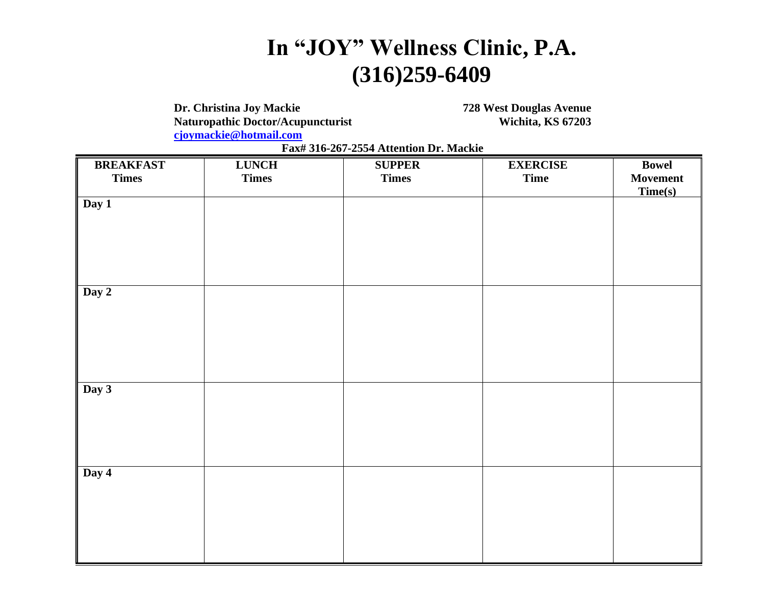# **In "JOY" Wellness Clinic, P.A. (316)259-6409**

**Dr. Christina Joy Mackie Naturopathic Doctor/Acupuncturist**  **728 West Douglas Avenue Wichita, KS 67203**

**[cjoymackie@hotmail.com](mailto:cjoymackie@hotmail.com)**

**Fax# 316-267-2554 Attention Dr. Mackie**

| <b>BREAKFAST</b> | <b>LUNCH</b> | <b>SUPPER</b> | <b>EXERCISE</b> | <b>Bowel</b>    |
|------------------|--------------|---------------|-----------------|-----------------|
| <b>Times</b>     | <b>Times</b> | <b>Times</b>  | <b>Time</b>     | <b>Movement</b> |
|                  |              |               |                 | Time(s)         |
| Day 1            |              |               |                 |                 |
|                  |              |               |                 |                 |
|                  |              |               |                 |                 |
|                  |              |               |                 |                 |
|                  |              |               |                 |                 |
|                  |              |               |                 |                 |
| Day 2            |              |               |                 |                 |
|                  |              |               |                 |                 |
|                  |              |               |                 |                 |
|                  |              |               |                 |                 |
|                  |              |               |                 |                 |
|                  |              |               |                 |                 |
| Day 3            |              |               |                 |                 |
|                  |              |               |                 |                 |
|                  |              |               |                 |                 |
|                  |              |               |                 |                 |
|                  |              |               |                 |                 |
|                  |              |               |                 |                 |
| $\log$ 4         |              |               |                 |                 |
|                  |              |               |                 |                 |
|                  |              |               |                 |                 |
|                  |              |               |                 |                 |
|                  |              |               |                 |                 |
|                  |              |               |                 |                 |